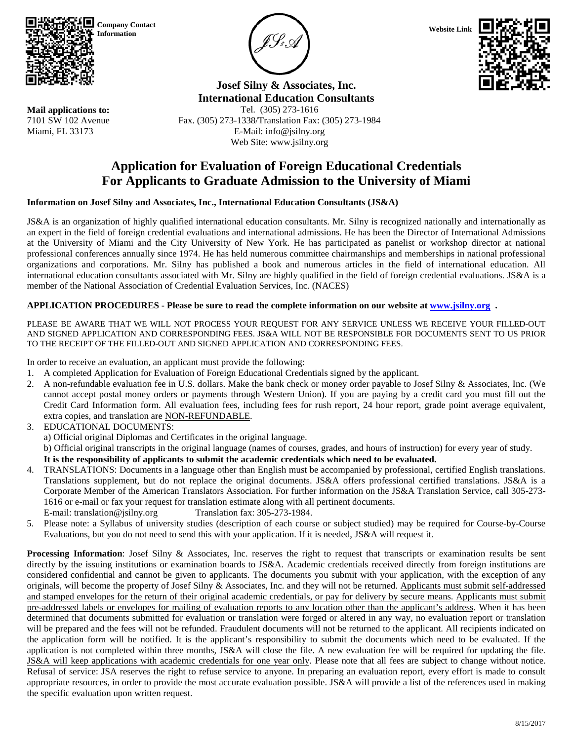

**Mail applications to:** 7101 SW 102 Avenue Miami, FL 33173

**Company Contact** 





**Josef Silny & Associates, Inc. International Education Consultants** Tel. (305) 273-1616

Fax. (305) 273-1338/Translation Fax: (305) 273-1984 E-Mail: info@jsilny.org Web Site: www.jsilny.org

# **Application for Evaluation of Foreign Educational Credentials For Applicants to Graduate Admission to the University of Miami**

# **Information on Josef Silny and Associates, Inc., International Education Consultants (JS&A)**

JS&A is an organization of highly qualified international education consultants. Mr. Silny is recognized nationally and internationally as an expert in the field of foreign credential evaluations and international admissions. He has been the Director of International Admissions at the University of Miami and the City University of New York. He has participated as panelist or workshop director at national professional conferences annually since 1974. He has held numerous committee chairmanships and memberships in national professional organizations and corporations. Mr. Silny has published a book and numerous articles in the field of international education. All international education consultants associated with Mr. Silny are highly qualified in the field of foreign credential evaluations. JS&A is a member of the National Association of Credential Evaluation Services, Inc. (NACES)

# **APPLICATION PROCEDURES - Please be sure to read the complete information on our website a[t www.jsilny.org](http://www.jsilny.org/) .**

PLEASE BE AWARE THAT WE WILL NOT PROCESS YOUR REQUEST FOR ANY SERVICE UNLESS WE RECEIVE YOUR FILLED-OUT AND SIGNED APPLICATION AND CORRESPONDING FEES. JS&A WILL NOT BE RESPONSIBLE FOR DOCUMENTS SENT TO US PRIOR TO THE RECEIPT OF THE FILLED-OUT AND SIGNED APPLICATION AND CORRESPONDING FEES.

In order to receive an evaluation, an applicant must provide the following:

- 1. A completed Application for Evaluation of Foreign Educational Credentials signed by the applicant.
- 2. A non-refundable evaluation fee in U.S. dollars. Make the bank check or money order payable to Josef Silny & Associates, Inc. (We cannot accept postal money orders or payments through Western Union). If you are paying by a credit card you must fill out the Credit Card Information form. All evaluation fees, including fees for rush report, 24 hour report, grade point average equivalent, extra copies, and translation are NON-REFUNDABLE.
- 3. EDUCATIONAL DOCUMENTS:
	- a) Official original Diplomas and Certificates in the original language.

b) Official original transcripts in the original language (names of courses, grades, and hours of instruction) for every year of study.

# **It is the responsibility of applicants to submit the academic credentials which need to be evaluated.**

- 4. TRANSLATIONS: Documents in a language other than English must be accompanied by professional, certified English translations. Translations supplement, but do not replace the original documents. JS&A offers professional certified translations. JS&A is a Corporate Member of the American Translators Association. For further information on the JS&A Translation Service, call 305-273- 1616 or e-mail or fax your request for translation estimate along with all pertinent documents. E-mail: translation@jsilny.org Translation fax: 305-273-1984.
- 5. Please note: a Syllabus of university studies (description of each course or subject studied) may be required for Course-by-Course Evaluations, but you do not need to send this with your application. If it is needed, JS&A will request it.

**Processing Information**: Josef Silny & Associates, Inc. reserves the right to request that transcripts or examination results be sent directly by the issuing institutions or examination boards to JS&A. Academic credentials received directly from foreign institutions are considered confidential and cannot be given to applicants. The documents you submit with your application, with the exception of any originals, will become the property of Josef Silny & Associates, Inc. and they will not be returned. Applicants must submit self-addressed and stamped envelopes for the return of their original academic credentials, or pay for delivery by secure means. Applicants must submit pre-addressed labels or envelopes for mailing of evaluation reports to any location other than the applicant's address. When it has been determined that documents submitted for evaluation or translation were forged or altered in any way, no evaluation report or translation will be prepared and the fees will not be refunded. Fraudulent documents will not be returned to the applicant. All recipients indicated on the application form will be notified. It is the applicant's responsibility to submit the documents which need to be evaluated. If the application is not completed within three months, JS&A will close the file. A new evaluation fee will be required for updating the file. JS&A will keep applications with academic credentials for one year only. Please note that all fees are subject to change without notice. Refusal of service: JSA reserves the right to refuse service to anyone. In preparing an evaluation report, every effort is made to consult appropriate resources, in order to provide the most accurate evaluation possible. JS&A will provide a list of the references used in making the specific evaluation upon written request.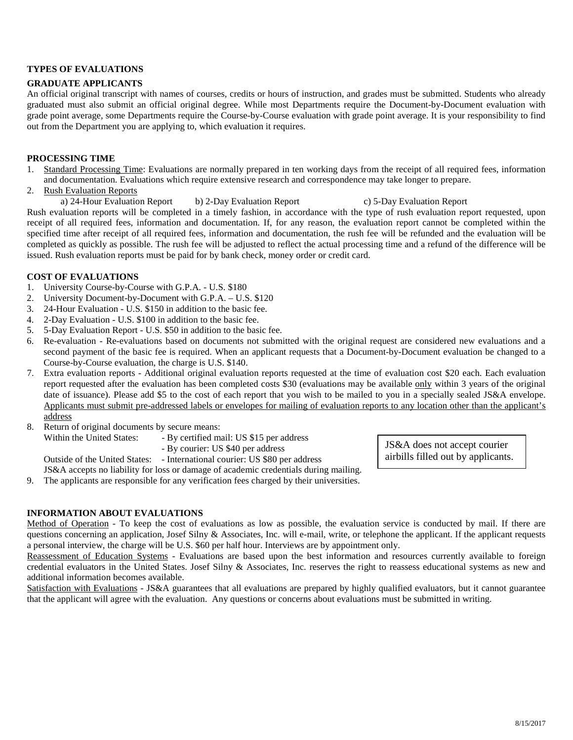### **TYPES OF EVALUATIONS**

#### **GRADUATE APPLICANTS**

An official original transcript with names of courses, credits or hours of instruction, and grades must be submitted. Students who already graduated must also submit an official original degree. While most Departments require the Document-by-Document evaluation with grade point average, some Departments require the Course-by-Course evaluation with grade point average. It is your responsibility to find out from the Department you are applying to, which evaluation it requires.

### **PROCESSING TIME**

- 1. Standard Processing Time: Evaluations are normally prepared in ten working days from the receipt of all required fees, information and documentation. Evaluations which require extensive research and correspondence may take longer to prepare.
- 2. Rush Evaluation Reports

a) 24-Hour Evaluation Report b) 2-Day Evaluation Report c) 5-Day Evaluation Report Rush evaluation reports will be completed in a timely fashion, in accordance with the type of rush evaluation report requested, upon receipt of all required fees, information and documentation. If, for any reason, the evaluation report cannot be completed within the specified time after receipt of all required fees, information and documentation, the rush fee will be refunded and the evaluation will be completed as quickly as possible. The rush fee will be adjusted to reflect the actual processing time and a refund of the difference will be issued. Rush evaluation reports must be paid for by bank check, money order or credit card.

# **COST OF EVALUATIONS**

- 1. University Course-by-Course with G.P.A. U.S. \$180
- 2. University Document-by-Document with G.P.A. U.S. \$120
- 3. 24-Hour Evaluation U.S. \$150 in addition to the basic fee.
- 4. 2-Day Evaluation U.S. \$100 in addition to the basic fee.
- 5. 5-Day Evaluation Report U.S. \$50 in addition to the basic fee.
- 6. Re-evaluation Re-evaluations based on documents not submitted with the original request are considered new evaluations and a second payment of the basic fee is required. When an applicant requests that a Document-by-Document evaluation be changed to a Course-by-Course evaluation, the charge is U.S. \$140.
- 7. Extra evaluation reports Additional original evaluation reports requested at the time of evaluation cost \$20 each. Each evaluation report requested after the evaluation has been completed costs \$30 (evaluations may be available only within 3 years of the original date of issuance). Please add \$5 to the cost of each report that you wish to be mailed to you in a specially sealed JS&A envelope. Applicants must submit pre-addressed labels or envelopes for mailing of evaluation reports to any location other than the applicant's address
- 8. Return of original documents by secure means:
	- Within the United States: By certified mail: US \$15 per address
		- By courier: US \$40 per address

Outside of the United States: - International courier: US \$80 per address

JS&A accepts no liability for loss or damage of academic credentials during mailing.

9. The applicants are responsible for any verification fees charged by their universities.

# **INFORMATION ABOUT EVALUATIONS**

Method of Operation - To keep the cost of evaluations as low as possible, the evaluation service is conducted by mail. If there are questions concerning an application, Josef Silny & Associates, Inc. will e-mail, write, or telephone the applicant. If the applicant requests a personal interview, the charge will be U.S. \$60 per half hour. Interviews are by appointment only.

Reassessment of Education Systems - Evaluations are based upon the best information and resources currently available to foreign credential evaluators in the United States. Josef Silny & Associates, Inc. reserves the right to reassess educational systems as new and additional information becomes available.

Satisfaction with Evaluations - JS&A guarantees that all evaluations are prepared by highly qualified evaluators, but it cannot guarantee that the applicant will agree with the evaluation. Any questions or concerns about evaluations must be submitted in writing.

JS&A does not accept courier airbills filled out by applicants.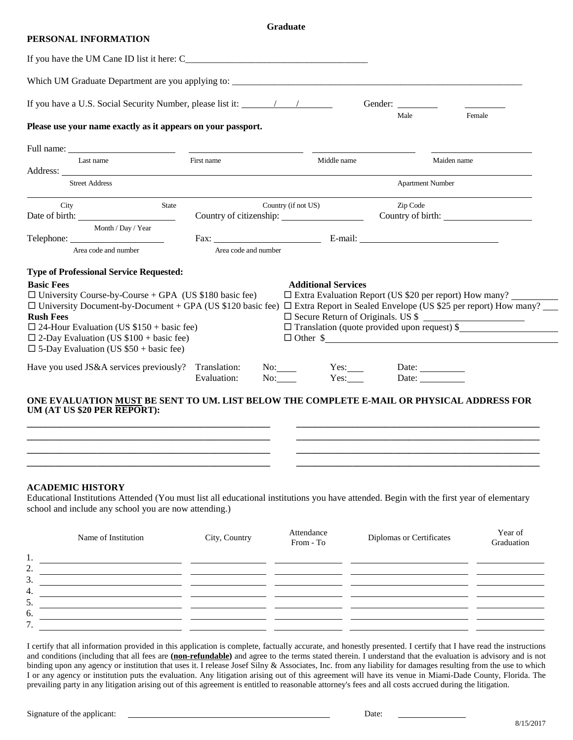#### **Graduate**

#### **PERSONAL INFORMATION**

|                                                                                                                                                                                                                                                                                                                                                                                            |       |                      |                     |                            | Gender:  |                                                                                                                                                                                                                                                     |
|--------------------------------------------------------------------------------------------------------------------------------------------------------------------------------------------------------------------------------------------------------------------------------------------------------------------------------------------------------------------------------------------|-------|----------------------|---------------------|----------------------------|----------|-----------------------------------------------------------------------------------------------------------------------------------------------------------------------------------------------------------------------------------------------------|
| Please use your name exactly as it appears on your passport.                                                                                                                                                                                                                                                                                                                               |       |                      |                     |                            | Male     | Female                                                                                                                                                                                                                                              |
| Full name:                                                                                                                                                                                                                                                                                                                                                                                 |       |                      |                     |                            |          |                                                                                                                                                                                                                                                     |
| Last name                                                                                                                                                                                                                                                                                                                                                                                  |       | First name           |                     | Middle name                |          | Maiden name                                                                                                                                                                                                                                         |
| <b>Street Address</b>                                                                                                                                                                                                                                                                                                                                                                      |       |                      |                     |                            |          | <b>Apartment Number</b>                                                                                                                                                                                                                             |
| City                                                                                                                                                                                                                                                                                                                                                                                       | State |                      | Country (if not US) |                            | Zip Code |                                                                                                                                                                                                                                                     |
| Month / Day / Year                                                                                                                                                                                                                                                                                                                                                                         |       |                      |                     |                            |          | Fax: $E$ -mail: $E$ -mail: $E$ -mail: $E$ -mail: $E$ -mail: $E$ -mail: $E$ -mail: $E$ -mail: $E$ -mail: $E$ -mail: $E$ -mail: $E$ -mail: $E$ -mail: $E$ -mail: $E$ -mail: $E$ -mail: $E$ -mail: $E$ -mail: $E$ -mail: $E$ -mail: $E$ -mail: $E$ -ma |
| Area code and number                                                                                                                                                                                                                                                                                                                                                                       |       | Area code and number |                     |                            |          |                                                                                                                                                                                                                                                     |
| <b>Type of Professional Service Requested:</b>                                                                                                                                                                                                                                                                                                                                             |       |                      |                     |                            |          |                                                                                                                                                                                                                                                     |
|                                                                                                                                                                                                                                                                                                                                                                                            |       |                      |                     | <b>Additional Services</b> |          |                                                                                                                                                                                                                                                     |
|                                                                                                                                                                                                                                                                                                                                                                                            |       |                      |                     |                            |          | $\Box$ Extra Evaluation Report (US \$20 per report) How many?<br>□ Extra Report in Sealed Envelope (US \$25 per report) How many?<br>□ Secure Return of Originals. US \$<br>$\Box$ Translation (quote provided upon request) \$<br>$\Box$ Other \$  |
| <b>Basic Fees</b><br>$\Box$ University Course-by-Course + GPA (US \$180 basic fee)<br>$\Box$ University Document-by-Document + GPA (US \$120 basic fee)<br><b>Rush Fees</b><br>$\Box$ 24-Hour Evaluation (US \$150 + basic fee)<br>$\Box$ 2-Day Evaluation (US \$100 + basic fee)<br>$\Box$ 5-Day Evaluation (US \$50 + basic fee)<br>Have you used JS&A services previously? Translation: |       | Evaluation:          | No:<br>No:          | Yes:                       |          | Date: $\frac{1}{\sqrt{1-\frac{1}{2}} \cdot \frac{1}{2}}$<br>Date:                                                                                                                                                                                   |

#### **ACADEMIC HISTORY**

Educational Institutions Attended (You must list all educational institutions you have attended. Begin with the first year of elementary school and include any school you are now attending.)

|         | Name of Institution | City, Country | Attendance<br>From - To | Diplomas or Certificates | Year of<br>Graduation |
|---------|---------------------|---------------|-------------------------|--------------------------|-----------------------|
| 1.      |                     |               |                         |                          |                       |
| 2.      |                     |               |                         |                          |                       |
| 3.      |                     |               |                         |                          |                       |
| 4.      |                     |               |                         |                          |                       |
| 5.      |                     |               |                         |                          |                       |
| 6.      |                     |               |                         |                          |                       |
| 7<br>., |                     |               |                         |                          |                       |

I certify that all information provided in this application is complete, factually accurate, and honestly presented. I certify that I have read the instructions and conditions (including that all fees are (non-refundable) and agree to the terms stated therein. I understand that the evaluation is advisory and is not binding upon any agency or institution that uses it. I release Josef Silny & Associates, Inc. from any liability for damages resulting from the use to which I or any agency or institution puts the evaluation. Any litigation arising out of this agreement will have its venue in Miami-Dade County, Florida. The prevailing party in any litigation arising out of this agreement is entitled to reasonable attorney's fees and all costs accrued during the litigation.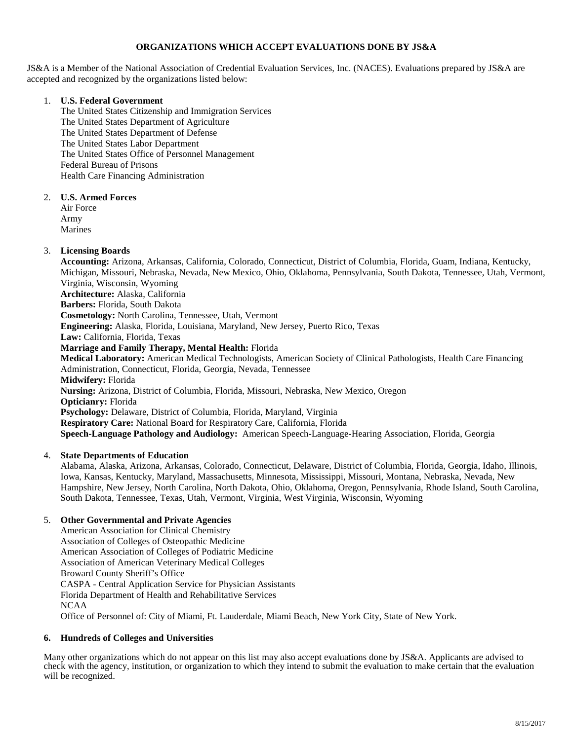# **ORGANIZATIONS WHICH ACCEPT EVALUATIONS DONE BY JS&A**

JS&A is a Member of the National Association of Credential Evaluation Services, Inc. (NACES). Evaluations prepared by JS&A are accepted and recognized by the organizations listed below:

#### 1. **U.S. Federal Government**

The United States Citizenship and Immigration Services The United States Department of Agriculture The United States Department of Defense The United States Labor Department The United States Office of Personnel Management Federal Bureau of Prisons Health Care Financing Administration

#### 2. **U.S. Armed Forces**

Air Force Army Marines

# 3. **Licensing Boards**

**Accounting:** Arizona, Arkansas, California, Colorado, Connecticut, District of Columbia, Florida, Guam, Indiana, Kentucky, Michigan, Missouri, Nebraska, Nevada, New Mexico, Ohio, Oklahoma, Pennsylvania, South Dakota, Tennessee, Utah, Vermont, Virginia, Wisconsin, Wyoming **Architecture:** Alaska, California **Barbers:** Florida, South Dakota **Cosmetology:** North Carolina, Tennessee, Utah, Vermont **Engineering:** Alaska, Florida, Louisiana, Maryland, New Jersey, Puerto Rico, Texas **Law:** California, Florida, Texas **Marriage and Family Therapy, Mental Health:** Florida **Medical Laboratory:** American Medical Technologists, American Society of Clinical Pathologists, Health Care Financing Administration, Connecticut, Florida, Georgia, Nevada, Tennessee **Midwifery:** Florida **Nursing:** Arizona, District of Columbia, Florida, Missouri, Nebraska, New Mexico, Oregon **Opticianry:** Florida **Psychology:** Delaware, District of Columbia, Florida, Maryland, Virginia **Respiratory Care:** National Board for Respiratory Care, California, Florida **Speech-Language Pathology and Audiology:** American Speech-Language-Hearing Association, Florida, Georgia

#### 4. **State Departments of Education**

Alabama, Alaska, Arizona, Arkansas, Colorado, Connecticut, Delaware, District of Columbia, Florida, Georgia, Idaho, Illinois, Iowa, Kansas, Kentucky, Maryland, Massachusetts, Minnesota, Mississippi, Missouri, Montana, Nebraska, Nevada, New Hampshire, New Jersey, North Carolina, North Dakota, Ohio, Oklahoma, Oregon, Pennsylvania, Rhode Island, South Carolina, South Dakota, Tennessee, Texas, Utah, Vermont, Virginia, West Virginia, Wisconsin, Wyoming

#### 5. **Other Governmental and Private Agencies**

American Association for Clinical Chemistry Association of Colleges of Osteopathic Medicine American Association of Colleges of Podiatric Medicine Association of American Veterinary Medical Colleges Broward County Sheriff's Office CASPA - Central Application Service for Physician Assistants Florida Department of Health and Rehabilitative Services NCAA Office of Personnel of: City of Miami, Ft. Lauderdale, Miami Beach, New York City, State of New York.

# **6. Hundreds of Colleges and Universities**

Many other organizations which do not appear on this list may also accept evaluations done by JS&A. Applicants are advised to check with the agency, institution, or organization to which they intend to submit the evaluation to make certain that the evaluation will be recognized.